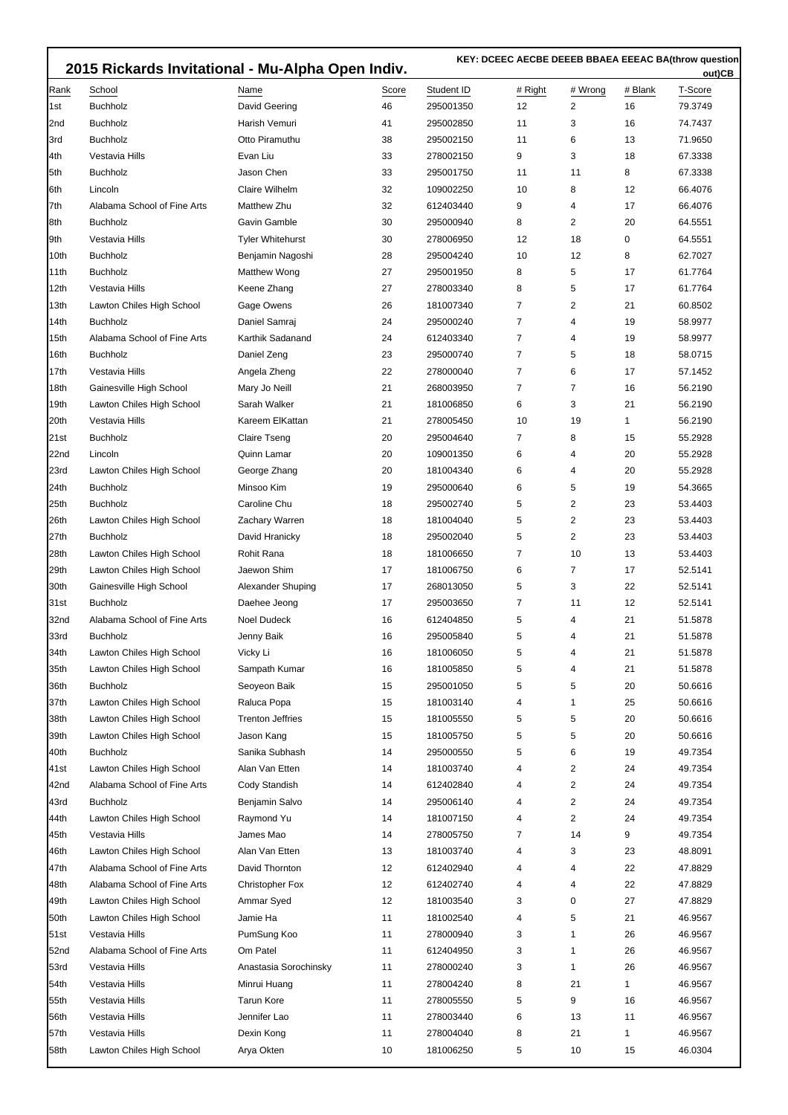|      | 2015 Rickards Invitational - Mu-Alpha Open Indiv. |                         |       |            |                | out)CB         |         |         |
|------|---------------------------------------------------|-------------------------|-------|------------|----------------|----------------|---------|---------|
| Rank | School                                            | Name                    | Score | Student ID | # Right        | # Wrong        | # Blank | T-Score |
| 1st  | <b>Buchholz</b>                                   | David Geering           | 46    | 295001350  | 12             | 2              | 16      | 79.3749 |
| 2nd  | <b>Buchholz</b>                                   | Harish Vemuri           | 41    | 295002850  | 11             | 3              | 16      | 74.7437 |
| 3rd  | <b>Buchholz</b>                                   | Otto Piramuthu          | 38    | 295002150  | 11             | 6              | 13      | 71.9650 |
| 4th  | Vestavia Hills                                    | Evan Liu                | 33    | 278002150  | 9              | 3              | 18      | 67.3338 |
| 5th  | <b>Buchholz</b>                                   | Jason Chen              | 33    | 295001750  | 11             | 11             | 8       | 67.3338 |
| 6th  | Lincoln                                           | Claire Wilhelm          | 32    | 109002250  | 10             | 8              | 12      | 66.4076 |
| 7th  | Alabama School of Fine Arts                       | Matthew Zhu             | 32    | 612403440  | 9              | 4              | 17      | 66.4076 |
| 8th  | <b>Buchholz</b>                                   | Gavin Gamble            | 30    | 295000940  | 8              | 2              | 20      | 64.5551 |
| 9th  | Vestavia Hills                                    | <b>Tyler Whitehurst</b> | 30    | 278006950  | 12             | 18             | 0       | 64.5551 |
| 10th | <b>Buchholz</b>                                   | Benjamin Nagoshi        | 28    | 295004240  | 10             | 12             | 8       | 62.7027 |
| 11th | <b>Buchholz</b>                                   | Matthew Wong            | 27    | 295001950  | 8              | 5              | 17      | 61.7764 |
| 12th | Vestavia Hills                                    | Keene Zhang             | 27    | 278003340  | 8              | 5              | 17      | 61.7764 |
| 13th | Lawton Chiles High School                         | Gage Owens              | 26    | 181007340  | $\overline{7}$ | $\overline{2}$ | 21      | 60.8502 |
| 14th | <b>Buchholz</b>                                   | Daniel Samraj           | 24    | 295000240  | 7              | 4              | 19      | 58.9977 |
| 15th | Alabama School of Fine Arts                       | Karthik Sadanand        | 24    | 612403340  | 7              | 4              | 19      | 58.9977 |
| 16th | <b>Buchholz</b>                                   | Daniel Zeng             | 23    | 295000740  | $\overline{7}$ | 5              | 18      | 58.0715 |
| 17th | Vestavia Hills                                    | Angela Zheng            | 22    | 278000040  | $\overline{7}$ | 6              | 17      | 57.1452 |
| 18th | Gainesville High School                           | Mary Jo Neill           | 21    | 268003950  | $\overline{7}$ | 7              | 16      | 56.2190 |
| 19th | Lawton Chiles High School                         | Sarah Walker            | 21    | 181006850  | 6              | 3              | 21      | 56.2190 |
| 20th | Vestavia Hills                                    | Kareem ElKattan         | 21    | 278005450  | 10             | 19             | 1       | 56.2190 |
| 21st | <b>Buchholz</b>                                   | Claire Tseng            | 20    | 295004640  | 7              | 8              | 15      | 55.2928 |
| 22nd | Lincoln                                           | Quinn Lamar             | 20    | 109001350  | 6              | 4              | 20      | 55.2928 |
| 23rd |                                                   | George Zhang            | 20    | 181004340  | 6              | 4              | 20      | 55.2928 |
| 24th | Lawton Chiles High School<br><b>Buchholz</b>      | Minsoo Kim              | 19    |            | 6              | 5              | 19      | 54.3665 |
|      |                                                   |                         |       | 295000640  |                | $\overline{2}$ |         |         |
| 25th | <b>Buchholz</b>                                   | Caroline Chu            | 18    | 295002740  | 5              |                | 23      | 53.4403 |
| 26th | Lawton Chiles High School                         | Zachary Warren          | 18    | 181004040  | 5              | 2              | 23      | 53.4403 |
| 27th | <b>Buchholz</b>                                   | David Hranicky          | 18    | 295002040  | 5              | 2              | 23      | 53.4403 |
| 28th | Lawton Chiles High School                         | <b>Rohit Rana</b>       | 18    | 181006650  | $\overline{7}$ | 10             | 13      | 53.4403 |
| 29th | Lawton Chiles High School                         | Jaewon Shim             | 17    | 181006750  | 6              | 7              | 17      | 52.5141 |
| 30th | Gainesville High School                           | Alexander Shuping       | 17    | 268013050  | 5              | 3              | 22      | 52.5141 |
| 31st | <b>Buchholz</b>                                   | Daehee Jeong            | 17    | 295003650  | $\overline{7}$ | 11             | 12      | 52.5141 |
| 32nd | Alabama School of Fine Arts                       | <b>Noel Dudeck</b>      | 16    | 612404850  | 5              | 4              | 21      | 51.5878 |
| 33rd | Buchholz                                          | Jenny Baik              | 16    | 295005840  | 5              | 4              | 21      | 51.5878 |
| 34th | Lawton Chiles High School                         | Vicky Li                | 16    | 181006050  | 5              | 4              | 21      | 51.5878 |
| 35th | Lawton Chiles High School                         | Sampath Kumar           | 16    | 181005850  | 5              | 4              | 21      | 51.5878 |
| 36th | <b>Buchholz</b>                                   | Seoyeon Baik            | 15    | 295001050  | 5              | 5              | 20      | 50.6616 |
| 37th | Lawton Chiles High School                         | Raluca Popa             | 15    | 181003140  | 4              | 1              | 25      | 50.6616 |
| 38th | Lawton Chiles High School                         | <b>Trenton Jeffries</b> | 15    | 181005550  | 5              | 5              | 20      | 50.6616 |
| 39th | Lawton Chiles High School                         | Jason Kang              | 15    | 181005750  | 5              | 5              | 20      | 50.6616 |
| 40th | <b>Buchholz</b>                                   | Sanika Subhash          | 14    | 295000550  | 5              | 6              | 19      | 49.7354 |
| 41st | Lawton Chiles High School                         | Alan Van Etten          | 14    | 181003740  | 4              | 2              | 24      | 49.7354 |
| 42nd | Alabama School of Fine Arts                       | Cody Standish           | 14    | 612402840  | 4              | 2              | 24      | 49.7354 |
| 43rd | Buchholz                                          | Benjamin Salvo          | 14    | 295006140  | 4              | $\overline{c}$ | 24      | 49.7354 |
| 44th | Lawton Chiles High School                         | Raymond Yu              | 14    | 181007150  | 4              | $\overline{c}$ | 24      | 49.7354 |
| 45th | Vestavia Hills                                    | James Mao               | 14    | 278005750  | 7              | 14             | 9       | 49.7354 |
| 46th | Lawton Chiles High School                         | Alan Van Etten          | 13    | 181003740  | 4              | 3              | 23      | 48.8091 |
| 47th | Alabama School of Fine Arts                       | David Thornton          | 12    | 612402940  | 4              | 4              | 22      | 47.8829 |
| 48th | Alabama School of Fine Arts                       | <b>Christopher Fox</b>  | 12    | 612402740  | 4              | 4              | 22      | 47.8829 |
| 49th | Lawton Chiles High School                         | Ammar Syed              | 12    | 181003540  | 3              | $\pmb{0}$      | 27      | 47.8829 |
| 50th | Lawton Chiles High School                         | Jamie Ha                | 11    | 181002540  | 4              | 5              | 21      | 46.9567 |
| 51st | Vestavia Hills                                    | PumSung Koo             | 11    | 278000940  | 3              | 1              | 26      | 46.9567 |
| 52nd | Alabama School of Fine Arts                       | Om Patel                | 11    | 612404950  | 3              | 1              | 26      | 46.9567 |
| 53rd | Vestavia Hills                                    | Anastasia Sorochinsky   | 11    | 278000240  | 3              | 1              | 26      | 46.9567 |
| 54th | Vestavia Hills                                    | Minrui Huang            | 11    | 278004240  | 8              | 21             | 1       | 46.9567 |
| 55th | Vestavia Hills                                    | <b>Tarun Kore</b>       | 11    | 278005550  | 5              | 9              | 16      | 46.9567 |
| 56th | Vestavia Hills                                    | Jennifer Lao            | 11    | 278003440  | 6              | 13             | 11      | 46.9567 |
| 57th |                                                   |                         |       |            |                |                |         |         |
|      | Vestavia Hills                                    | Dexin Kong              | 11    | 278004040  | 8              | 21             | 1       | 46.9567 |
| 58th | Lawton Chiles High School                         | Arya Okten              | 10    | 181006250  | 5              | 10             | 15      | 46.0304 |